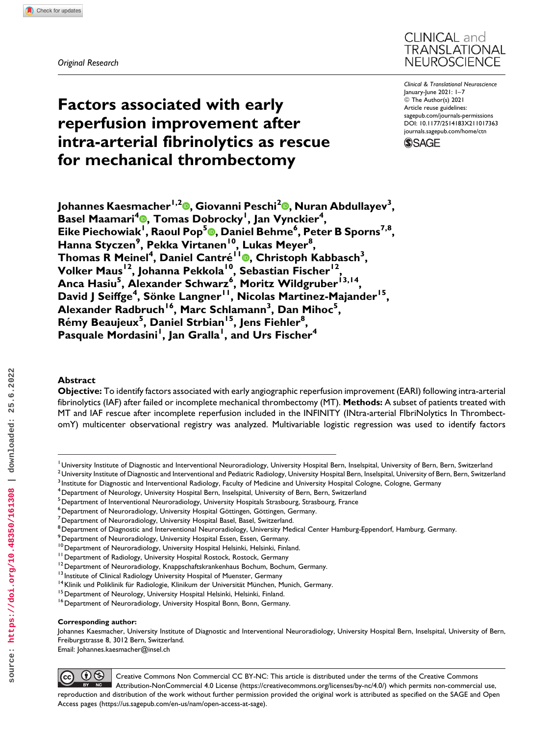*Original Research*



*Clinical & Translational Neuroscience* January-June 2021: 1–7 © The Author(s) 2021 Article reuse guidelines: [sagepub.com/journals-permissions](https://sagepub.com/journals-permissions) [DOI: 10.1177/2514183X211017363](https://doi.org/10.1177/2514183X211017363) [journals.sagepub.com/home/ctn](http://journals.sagepub.com/home/ctn)



**Johannes Kaesmacher1,2 , Giovanni Peschi2 [,](https://orcid.org/0000-0002-7162-1475) Nuran Abdullayev<sup>3</sup> , Basel Maamari<sup>4</sup> [,](https://orcid.org/0000-0002-1148-160X) Tomas Dobrocky<sup>1</sup> , Jan Vynckier<sup>4</sup> , Eike Piechowiak<sup>1</sup> , Raoul Pop[5](https://orcid.org/0000-0003-4417-1496) , Daniel Behme<sup>6</sup> , Peter B Sporns7,8, Hanna Styczen<sup>9</sup> , Pekka Virtanen10, Lukas Meyer8 , Thomas R Meinel<sup>4</sup> , Daniel Cantre´ 1[1](https://orcid.org/0000-0003-1685-9744) , Christoph Kabbasch<sup>3</sup> , Volker Maus12, Johanna Pekkola10, Sebastian Fischer12, Anca Hasiu<sup>5</sup> , Alexander Schwarz<sup>6</sup> , Moritz Wildgruber13,14, David J Seiffge<sup>4</sup> , So¨nke Langner11, Nicolas Martinez-Majander15, Alexander Radbruch16, Marc Schlamann3 , Dan Mihoc<sup>5</sup> , R**émy Beaujeux<sup>5</sup>, Daniel Strbian<sup>15</sup>, Jens Fiehler<sup>8</sup>, **Pasquale Mordasini<sup>1</sup> , Jan Gralla<sup>1</sup> , and Urs Fischer<sup>4</sup>**

# **Abstract**

**Objective:** To identify factors associated with early angiographic reperfusion improvement (EARI) following intra-arterial fibrinolytics (IAF) after failed or incomplete mechanical thrombectomy (MT). **Methods:** A subset of patients treated with MT and IAF rescue after incomplete reperfusion included in the INFINITY (INtra-arterial FIbriNolytics In ThrombectomY) multicenter observational registry was analyzed. Multivariable logistic regression was used to identify factors

**Factors associated with early**

**reperfusion improvement after**

**for mechanical thrombectomy**

**intra-arterial fibrinolytics as rescue**

#### **Corresponding author:**

Johannes Kaesmacher, University Institute of Diagnostic and Interventional Neuroradiology, University Hospital Bern, Inselspital, University of Bern, Freiburgstrasse 8, 3012 Bern, Switzerland.

Email: [Johannes.kaesmacher@insel.ch](mailto:Johannes.kaesmacher@insel.ch)



Creative Commons Non Commercial CC BY-NC: This article is distributed under the terms of the Creative Commons Attribution-NonCommercial 4.0 License ([https://creativecommons.org/licenses/by-nc/4.0/\)](https://creativecommons.org/licenses/by-nc/4.0/) which permits non-commercial use, reproduction and distribution of the work without further permission provided the original work is attributed as specified on the SAGE and Open Access pages (<https://us.sagepub.com/en-us/nam/open-access-at-sage>).

<sup>&</sup>lt;sup>I</sup> University Institute of Diagnostic and Interventional Neuroradiology, University Hospital Bern, Inselspital, University of Bern, Bern, Switzerland

<sup>&</sup>lt;sup>2</sup> University Institute of Diagnostic and Interventional and Pediatric Radiology, University Hospital Bern, Inselspital, University of Bern, Bern, Switzerland

<sup>&</sup>lt;sup>3</sup> Institute for Diagnostic and Interventional Radiology, Faculty of Medicine and University Hospital Cologne, Cologne, Germany

<sup>4</sup>Department of Neurology, University Hospital Bern, Inselspital, University of Bern, Bern, Switzerland

 $^{\mathrm{5}}$ Department of Interventional Neuroradiology, University Hospitals Strasbourg, Strasbourg, France

<sup>&</sup>lt;sup>6</sup> Department of Neuroradiology, University Hospital Göttingen, Göttingen, Germany.

 $<sup>7</sup>$ Department of Neuroradiology, University Hospital Basel, Basel, Switzerland.</sup>

<sup>&</sup>lt;sup>8</sup> Department of Diagnostic and Interventional Neuroradiology, University Medical Center Hamburg-Eppendorf, Hamburg, Germany.

<sup>9</sup> Department of Neuroradiology, University Hospital Essen, Essen, Germany.

<sup>&</sup>lt;sup>10</sup> Department of Neuroradiology, University Hospital Helsinki, Helsinki, Finland.<br><sup>11</sup> Department of Radiology, University Hospital Rostock, Rostock, Germany<br><sup>12</sup> Department of Neuroradiology, Knappschaftskrankenhaus Bo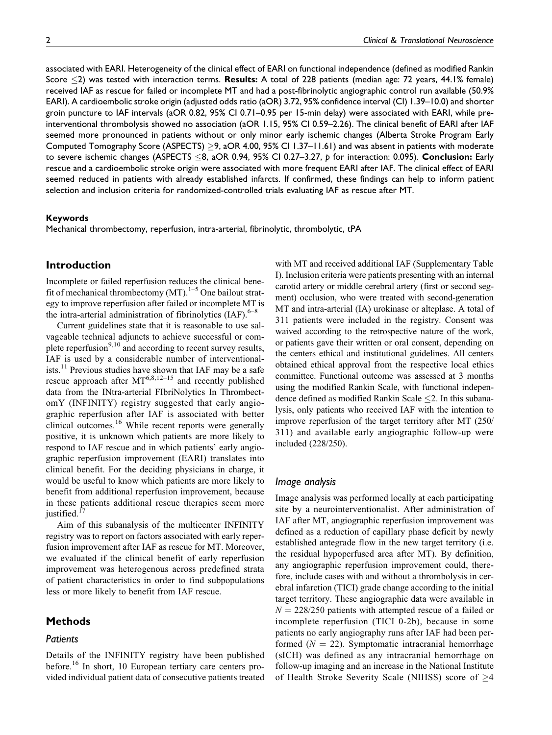associated with EARI. Heterogeneity of the clinical effect of EARI on functional independence (defined as modified Rankin Score -2) was tested with interaction terms. **Results:** A total of 228 patients (median age: 72 years, 44.1% female) received IAF as rescue for failed or incomplete MT and had a post-fibrinolytic angiographic control run available (50.9% EARI). A cardioembolic stroke origin (adjusted odds ratio (aOR) 3.72, 95% confidence interval (CI) 1.39–10.0) and shorter groin puncture to IAF intervals (aOR 0.82, 95% CI 0.71–0.95 per 15-min delay) were associated with EARI, while preinterventional thrombolysis showed no association (aOR 1.15, 95% CI 0.59–2.26). The clinical benefit of EARI after IAF seemed more pronounced in patients without or only minor early ischemic changes (Alberta Stroke Program Early Computed Tomography Score (ASPECTS)  $\geq$ 9, aOR 4.00, 95% CI 1.37–11.61) and was absent in patients with moderate to severe ischemic changes (ASPECTS -8, aOR 0.94, 95% CI 0.27–3.27, *p* for interaction: 0.095). **Conclusion:** Early rescue and a cardioembolic stroke origin were associated with more frequent EARI after IAF. The clinical effect of EARI seemed reduced in patients with already established infarcts. If confirmed, these findings can help to inform patient selection and inclusion criteria for randomized-controlled trials evaluating IAF as rescue after MT.

## **Keywords**

Mechanical thrombectomy, reperfusion, intra-arterial, fibrinolytic, thrombolytic, tPA

# **Introduction**

Incomplete or failed reperfusion reduces the clinical benefit of mechanical thrombectomy  $(MT)$ .<sup>1–5</sup> One bailout strategy to improve reperfusion after failed or incomplete MT is the intra-arterial administration of fibrinolytics  $(IAF)$ .<sup>6–8</sup>

Current guidelines state that it is reasonable to use salvageable technical adjuncts to achieve successful or complete reperfusion $9,10$  and according to recent survey results, IAF is used by a considerable number of interventionalists.<sup>11</sup> Previous studies have shown that IAF may be a safe rescue approach after  $MT^{6,8,12-15}$  and recently published data from the INtra-arterial FIbriNolytics In ThrombectomY (INFINITY) registry suggested that early angiographic reperfusion after IAF is associated with better clinical outcomes.<sup>16</sup> While recent reports were generally positive, it is unknown which patients are more likely to respond to IAF rescue and in which patients' early angiographic reperfusion improvement (EARI) translates into clinical benefit. For the deciding physicians in charge, it would be useful to know which patients are more likely to benefit from additional reperfusion improvement, because in these patients additional rescue therapies seem more justified.<sup>17</sup>

Aim of this subanalysis of the multicenter INFINITY registry was to report on factors associated with early reperfusion improvement after IAF as rescue for MT. Moreover, we evaluated if the clinical benefit of early reperfusion improvement was heterogenous across predefined strata of patient characteristics in order to find subpopulations less or more likely to benefit from IAF rescue.

# **Methods**

### *Patients*

Details of the INFINITY registry have been published before.<sup>16</sup> In short, 10 European tertiary care centers provided individual patient data of consecutive patients treated with MT and received additional IAF (Supplementary Table I). Inclusion criteria were patients presenting with an internal carotid artery or middle cerebral artery (first or second segment) occlusion, who were treated with second-generation MT and intra-arterial (IA) urokinase or alteplase. A total of 311 patients were included in the registry. Consent was waived according to the retrospective nature of the work, or patients gave their written or oral consent, depending on the centers ethical and institutional guidelines. All centers obtained ethical approval from the respective local ethics committee. Functional outcome was assessed at 3 months using the modified Rankin Scale, with functional independence defined as modified Rankin Scale  $\leq$  2. In this subanalysis, only patients who received IAF with the intention to improve reperfusion of the target territory after MT (250/ 311) and available early angiographic follow-up were included (228/250).

## *Image analysis*

Image analysis was performed locally at each participating site by a neurointerventionalist. After administration of IAF after MT, angiographic reperfusion improvement was defined as a reduction of capillary phase deficit by newly established antegrade flow in the new target territory (i.e. the residual hypoperfused area after MT). By definition, any angiographic reperfusion improvement could, therefore, include cases with and without a thrombolysis in cerebral infarction (TICI) grade change according to the initial target territory. These angiographic data were available in  $N = 228/250$  patients with attempted rescue of a failed or incomplete reperfusion (TICI 0-2b), because in some patients no early angiography runs after IAF had been performed  $(N = 22)$ . Symptomatic intracranial hemorrhage (sICH) was defined as any intracranial hemorrhage on follow-up imaging and an increase in the National Institute of Health Stroke Severity Scale (NIHSS) score of  $\geq$ 4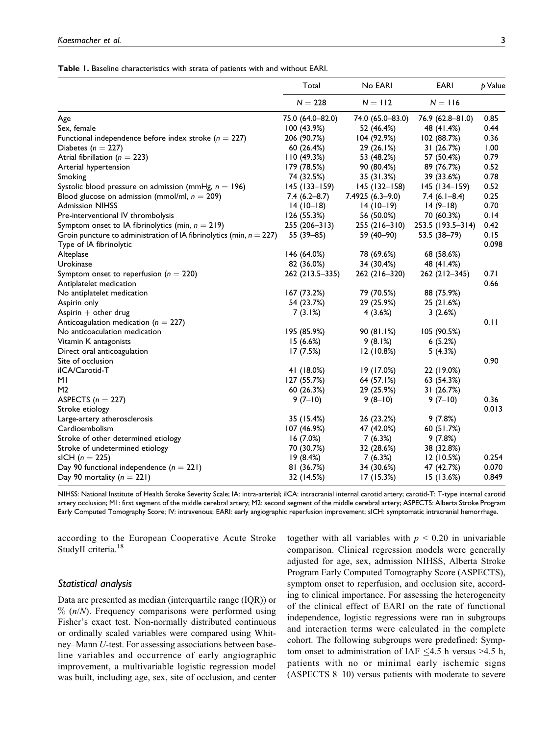### **Table 1.** Baseline characteristics with strata of patients with and without EARI.

|                                                                        | Total            | No EARI           | <b>EARI</b>       | p Value |
|------------------------------------------------------------------------|------------------|-------------------|-------------------|---------|
|                                                                        | $N = 228$        | $N = 112$         | $N = 116$         |         |
| Age                                                                    | 75.0 (64.0-82.0) | 74.0 (65.0-83.0)  | 76.9 (62.8-81.0)  | 0.85    |
| Sex, female                                                            | 100 (43.9%)      | 52 (46.4%)        | 48 (41.4%)        | 0.44    |
| Functional independence before index stroke ( $n = 227$ )              | 206 (90.7%)      | 104 (92.9%)       | 102 (88.7%)       | 0.36    |
| Diabetes ( $n = 227$ )                                                 | 60 (26.4%)       | 29 (26.1%)        | 31 (26.7%)        | 1.00    |
| Atrial fibrillation ( $n = 223$ )                                      | 110(49.3%)       | 53 (48.2%)        | 57 (50.4%)        | 0.79    |
| Arterial hypertension                                                  | 179 (78.5%)      | 90 (80.4%)        | 89 (76.7%)        | 0.52    |
| Smoking                                                                | 74 (32.5%)       | 35 (31.3%)        | 39 (33.6%)        | 0.78    |
| Systolic blood pressure on admission (mmHg, $n = 196$ )                | $145(133 - 159)$ | $145$ (132-158)   | $145(134 - 159)$  | 0.52    |
| Blood glucose on admission (mmol/ml, $n = 209$ )                       | $7.4(6.2 - 8.7)$ | $7.4925(6.3-9.0)$ | $7.4(6.1 - 8.4)$  | 0.25    |
| <b>Admission NIHSS</b>                                                 | $14(10-18)$      | $14(10-19)$       | $14(9-18)$        | 0.70    |
| Pre-interventional IV thrombolysis                                     | 126 (55.3%)      | 56 (50.0%)        | 70 (60.3%)        | 0.14    |
| Symptom onset to IA fibrinolytics (min, $n = 219$ )                    | 255 (206-313)    | 255 (216-310)     | 253.5 (193.5-314) | 0.42    |
| Groin puncture to administration of IA fibrinolytics (min, $n = 227$ ) | 55 (39-85)       | 59 (40-90)        | 53.5 (38-79)      | 0.15    |
| Type of IA fibrinolytic                                                |                  |                   |                   | 0.098   |
| Alteplase                                                              | 146 (64.0%)      | 78 (69.6%)        | 68 (58.6%)        |         |
| Urokinase                                                              | 82 (36.0%)       | 34 (30.4%)        | 48 (41.4%)        |         |
| Symptom onset to reperfusion ( $n = 220$ )                             | 262 (213.5-335)  | 262 (216-320)     | 262 (212-345)     | 0.71    |
| Antiplatelet medication                                                |                  |                   |                   | 0.66    |
| No antiplatelet medication                                             | 167 (73.2%)      | 79 (70.5%)        | 88 (75.9%)        |         |
| Aspirin only                                                           | 54 (23.7%)       | 29 (25.9%)        | 25 (21.6%)        |         |
| Aspirin $+$ other drug                                                 | 7(3.1%)          | 4(3.6%)           | 3(2.6%)           |         |
| Anticoagulation medication ( $n = 227$ )                               |                  |                   |                   | 0.11    |
| No anticoaculation medication                                          | 195 (85.9%)      | 90 (81.1%)        | 105 (90.5%)       |         |
| Vitamin K antagonists                                                  | 15(6.6%)         | 9(8.1%)           | 6(5.2%)           |         |
| Direct oral anticoagulation                                            | 17 (7.5%)        | 12 (10.8%)        | 5(4.3%)           |         |
| Site of occlusion                                                      |                  |                   |                   | 0.90    |
| ilCA/Carotid-T                                                         | 41 (18.0%)       | 19 (17.0%)        | 22 (19.0%)        |         |
| ΜI                                                                     | 127 (55.7%)      | 64 (57.1%)        | 63 (54.3%)        |         |
| M2                                                                     | 60 (26.3%)       | 29 (25.9%)        | 31 (26.7%)        |         |
| ASPECTS ( $n = 227$ )                                                  | $9(7-10)$        | $9(8-10)$         | $9(7-10)$         | 0.36    |
| Stroke etiology                                                        |                  |                   |                   | 0.013   |
| Large-artery atherosclerosis                                           | 35 (15.4%)       | 26 (23.2%)        | 9(7.8%)           |         |
| Cardioembolism                                                         | 107 (46.9%)      | 47 (42.0%)        | 60 (51.7%)        |         |
| Stroke of other determined etiology                                    | 16(7.0%)         | 7(6.3%)           | 9(7.8%)           |         |
| Stroke of undetermined etiology                                        | 70 (30.7%)       | 32 (28.6%)        | 38 (32.8%)        |         |
| sICH $(n = 225)$                                                       | 19(8.4%)         | 7(6.3%)           | 12(10.5%)         | 0.254   |
| Day 90 functional independence ( $n = 221$ )                           | 81 (36.7%)       | 34 (30.6%)        | 47 (42.7%)        | 0.070   |
| Day 90 mortality ( $n = 221$ )                                         | 32 (14.5%)       | 17(15.3%)         | 15(13.6%)         | 0.849   |

NIHSS: National Institute of Health Stroke Severity Scale; IA: intra-arterial; iICA: intracranial internal carotid artery; carotid-T: T-type internal carotid artery occlusion; M1: first segment of the middle cerebral artery; M2: second segment of the middle cerebral artery; ASPECTS: Alberta Stroke Program Early Computed Tomography Score; IV: intravenous; EARI: early angiographic reperfusion improvement; sICH: symptomatic intracranial hemorrhage.

according to the European Cooperative Acute Stroke StudyII criteria.<sup>18</sup>

# *Statistical analysis*

Data are presented as median (interquartile range (IQR)) or  $% (n/N)$ . Frequency comparisons were performed using Fisher's exact test. Non-normally distributed continuous or ordinally scaled variables were compared using Whitney–Mann U-test. For assessing associations between baseline variables and occurrence of early angiographic improvement, a multivariable logistic regression model was built, including age, sex, site of occlusion, and center

together with all variables with  $p < 0.20$  in univariable comparison. Clinical regression models were generally adjusted for age, sex, admission NIHSS, Alberta Stroke Program Early Computed Tomography Score (ASPECTS), symptom onset to reperfusion, and occlusion site, according to clinical importance. For assessing the heterogeneity of the clinical effect of EARI on the rate of functional independence, logistic regressions were ran in subgroups and interaction terms were calculated in the complete cohort. The following subgroups were predefined: Symptom onset to administration of IAF  $\leq$ 4.5 h versus >4.5 h, patients with no or minimal early ischemic signs (ASPECTS 8–10) versus patients with moderate to severe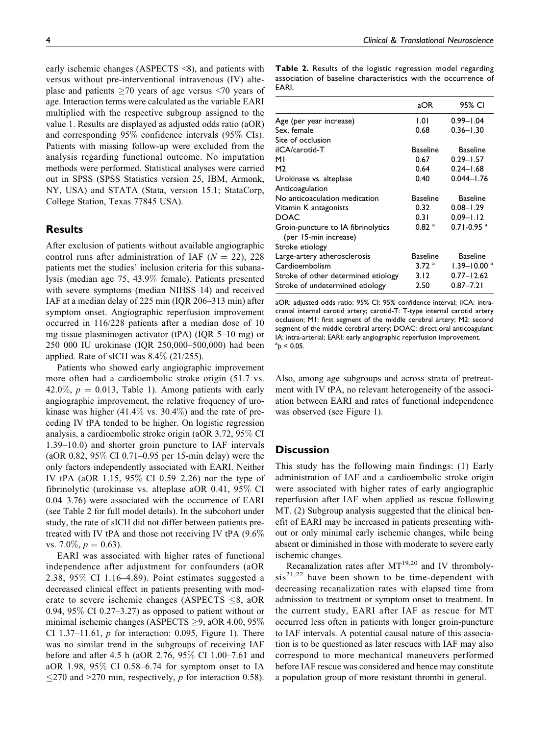4 *Clinical & Translational Neuroscience*

early ischemic changes (ASPECTS <8), and patients with versus without pre-interventional intravenous (IV) alteplase and patients  $>70$  years of age versus  $< 70$  years of age. Interaction terms were calculated as the variable EARI multiplied with the respective subgroup assigned to the value 1. Results are displayed as adjusted odds ratio (aOR) and corresponding 95% confidence intervals (95% CIs). Patients with missing follow-up were excluded from the analysis regarding functional outcome. No imputation methods were performed. Statistical analyses were carried out in SPSS (SPSS Statistics version 25, IBM, Armonk, NY, USA) and STATA (Stata, version 15.1; StataCorp, College Station, Texas 77845 USA).

# **Results**

After exclusion of patients without available angiographic control runs after administration of IAF  $(N = 22)$ , 228 patients met the studies' inclusion criteria for this subanalysis (median age 75, 43.9% female). Patients presented with severe symptoms (median NIHSS 14) and received IAF at a median delay of 225 min (IQR 206–313 min) after symptom onset. Angiographic reperfusion improvement occurred in 116/228 patients after a median dose of 10 mg tissue plasminogen activator (tPA) (IQR 5–10 mg) or 250 000 IU urokinase (IQR 250,000–500,000) had been applied. Rate of sICH was 8.4% (21/255).

Patients who showed early angiographic improvement more often had a cardioembolic stroke origin (51.7 vs. 42.0%,  $p = 0.013$ , Table 1). Among patients with early angiographic improvement, the relative frequency of urokinase was higher  $(41.4\% \text{ vs. } 30.4\%)$  and the rate of preceding IV tPA tended to be higher. On logistic regression analysis, a cardioembolic stroke origin (aOR 3.72, 95% CI 1.39–10.0) and shorter groin puncture to IAF intervals (aOR 0.82, 95% CI 0.71–0.95 per 15-min delay) were the only factors independently associated with EARI. Neither IV tPA (aOR 1.15, 95% CI 0.59–2.26) nor the type of fibrinolytic (urokinase vs. alteplase aOR 0.41, 95% CI 0.04–3.76) were associated with the occurrence of EARI (see Table 2 for full model details). In the subcohort under study, the rate of sICH did not differ between patients pretreated with IV tPA and those not receiving IV tPA (9.6% vs. 7.0\%,  $p = 0.63$ ).

EARI was associated with higher rates of functional independence after adjustment for confounders (aOR 2.38, 95% CI 1.16–4.89). Point estimates suggested a decreased clinical effect in patients presenting with moderate to severe ischemic changes (ASPECTS  $\leq$ 8, aOR 0.94, 95\% CI 0.27–3.27) as opposed to patient without or minimal ischemic changes (ASPECTS  $\geq$ 9, aOR 4.00, 95% CI 1.37–11.61,  $p$  for interaction: 0.095, Figure 1). There was no similar trend in the subgroups of receiving IAF before and after 4.5 h (aOR 2.76, 95% CI 1.00–7.61 and aOR 1.98, 95% CI 0.58–6.74 for symptom onset to IA  $\leq$ 270 and >270 min, respectively, p for interaction 0.58). **Table 2.** Results of the logistic regression model regarding association of baseline characteristics with the occurrence of EARI.

|                                                             | aOR                | 95% CI                      |
|-------------------------------------------------------------|--------------------|-----------------------------|
| Age (per year increase)                                     | 1.01               | $0.99 - 1.04$               |
| Sex, female                                                 | 0.68               | $0.36 - 1.30$               |
| Site of occlusion                                           |                    |                             |
| ilCA/carotid-T                                              | <b>Baseline</b>    | <b>Baseline</b>             |
| мı                                                          | 0.67               | $0.29 - 1.57$               |
| M2                                                          | 0.64               | $0.24 - 1.68$               |
| Urokinase vs. alteplase                                     | 0.40               | $0.044 - 1.76$              |
| Anticoagulation                                             |                    |                             |
| No anticoaculation medication                               | <b>Baseline</b>    | <b>Baseline</b>             |
| Vitamin K antagonists                                       | 0.32               | $0.08 - 1.29$               |
| <b>DOAC</b>                                                 | 0.31               | $0.09 - 1.12$               |
| Groin-puncture to IA fibrinolytics<br>(per 15-min increase) | 0.82~ <sup>a</sup> | $0.71 - 0.95$ <sup>a</sup>  |
| Stroke etiology                                             |                    |                             |
| Large-artery atherosclerosis                                | Baseline           | <b>Baseline</b>             |
| Cardioembolism                                              | 3.72 <sup>a</sup>  | $1.39 - 10.00$ <sup>a</sup> |
| Stroke of other determined etiology                         | 3.12               | $0.77 - 12.62$              |
| Stroke of undetermined etiology                             | 2.50               | $0.87 - 7.21$               |

aOR: adjusted odds ratio; 95% CI: 95% confidence interval; iICA: intracranial internal carotid artery; carotid-T: T-type internal carotid artery occlusion; M1: first segment of the middle cerebral artery; M2: second segment of the middle cerebral artery; DOAC: direct oral anticoagulant; IA: intra-arterial; EARI: early angiographic reperfusion improvement.  $a_p$  < 0.05.

Also, among age subgroups and across strata of pretreatment with IV tPA, no relevant heterogeneity of the association between EARI and rates of functional independence was observed (see Figure 1).

# **Discussion**

This study has the following main findings: (1) Early administration of IAF and a cardioembolic stroke origin were associated with higher rates of early angiographic reperfusion after IAF when applied as rescue following MT. (2) Subgroup analysis suggested that the clinical benefit of EARI may be increased in patients presenting without or only minimal early ischemic changes, while being absent or diminished in those with moderate to severe early ischemic changes.

Recanalization rates after  $MT^{19,20}$  and IV thromboly $sis^{21,22}$  have been shown to be time-dependent with decreasing recanalization rates with elapsed time from admission to treatment or symptom onset to treatment. In the current study, EARI after IAF as rescue for MT occurred less often in patients with longer groin-puncture to IAF intervals. A potential causal nature of this association is to be questioned as later rescues with IAF may also correspond to more mechanical maneuvers performed before IAF rescue was considered and hence may constitute a population group of more resistant thrombi in general.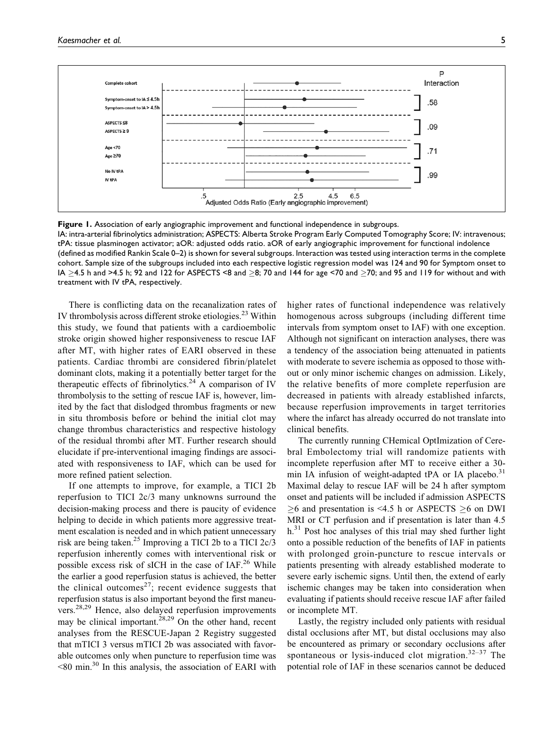

**Figure 1.** Association of early angiographic improvement and functional independence in subgroups. IA: intra-arterial fibrinolytics administration; ASPECTS: Alberta Stroke Program Early Computed Tomography Score; IV: intravenous; tPA: tissue plasminogen activator; aOR: adjusted odds ratio. aOR of early angiographic improvement for functional indolence (defined as modified Rankin Scale 0–2) is shown for several subgroups. Interaction was tested using interaction terms in the complete cohort. Sample size of the subgroups included into each respective logistic regression model was 124 and 90 for Symptom onset to IA  $\geq$ 4.5 h and >4.5 h; 92 and 122 for ASPECTS <8 and  $\geq$ 8; 70 and 144 for age <70 and  $\geq$ 70; and 95 and 119 for without and with treatment with IV tPA, respectively.

There is conflicting data on the recanalization rates of IV thrombolysis across different stroke etiologies.<sup>23</sup> Within this study, we found that patients with a cardioembolic stroke origin showed higher responsiveness to rescue IAF after MT, with higher rates of EARI observed in these patients. Cardiac thrombi are considered fibrin/platelet dominant clots, making it a potentially better target for the therapeutic effects of fibrinolytics.<sup>24</sup> A comparison of IV thrombolysis to the setting of rescue IAF is, however, limited by the fact that dislodged thrombus fragments or new in situ thrombosis before or behind the initial clot may change thrombus characteristics and respective histology of the residual thrombi after MT. Further research should elucidate if pre-interventional imaging findings are associated with responsiveness to IAF, which can be used for more refined patient selection.

If one attempts to improve, for example, a TICI 2b reperfusion to TICI 2c/3 many unknowns surround the decision-making process and there is paucity of evidence helping to decide in which patients more aggressive treatment escalation is needed and in which patient unnecessary risk are being taken.25 Improving a TICI 2b to a TICI 2c/3 reperfusion inherently comes with interventional risk or possible excess risk of sICH in the case of IAF.<sup>26</sup> While the earlier a good reperfusion status is achieved, the better the clinical outcomes $27$ ; recent evidence suggests that reperfusion status is also important beyond the first maneuvers.<sup>28,29</sup> Hence, also delayed reperfusion improvements may be clinical important.<sup>28,29</sup> On the other hand, recent analyses from the RESCUE-Japan 2 Registry suggested that mTICI 3 versus mTICI 2b was associated with favorable outcomes only when puncture to reperfusion time was  $\leq$ 80 min.<sup>30</sup> In this analysis, the association of EARI with

higher rates of functional independence was relatively homogenous across subgroups (including different time intervals from symptom onset to IAF) with one exception. Although not significant on interaction analyses, there was a tendency of the association being attenuated in patients with moderate to severe ischemia as opposed to those without or only minor ischemic changes on admission. Likely, the relative benefits of more complete reperfusion are decreased in patients with already established infarcts, because reperfusion improvements in target territories where the infarct has already occurred do not translate into clinical benefits.

The currently running CHemical OptImization of Cerebral Embolectomy trial will randomize patients with incomplete reperfusion after MT to receive either a 30 min IA infusion of weight-adapted tPA or IA placebo. $31$ Maximal delay to rescue IAF will be 24 h after symptom onset and patients will be included if admission ASPECTS  $\geq$ 6 and presentation is <4.5 h or ASPECTS  $\geq$ 6 on DWI MRI or CT perfusion and if presentation is later than 4.5  $h<sup>31</sup>$  Post hoc analyses of this trial may shed further light onto a possible reduction of the benefits of IAF in patients with prolonged groin-puncture to rescue intervals or patients presenting with already established moderate to severe early ischemic signs. Until then, the extend of early ischemic changes may be taken into consideration when evaluating if patients should receive rescue IAF after failed or incomplete MT.

Lastly, the registry included only patients with residual distal occlusions after MT, but distal occlusions may also be encountered as primary or secondary occlusions after spontaneous or lysis-induced clot migration. $32-37$  The potential role of IAF in these scenarios cannot be deduced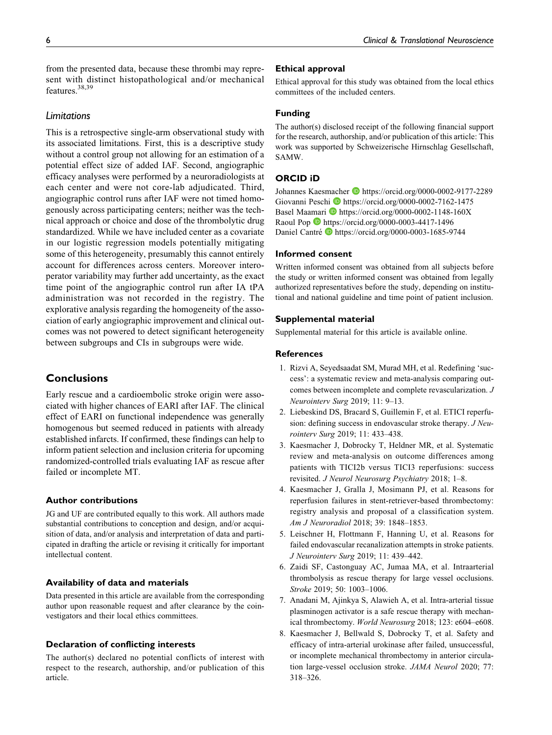from the presented data, because these thrombi may represent with distinct histopathological and/or mechanical features.<sup>38,39</sup>

# *Limitations*

This is a retrospective single-arm observational study with its associated limitations. First, this is a descriptive study without a control group not allowing for an estimation of a potential effect size of added IAF. Second, angiographic efficacy analyses were performed by a neuroradiologists at each center and were not core-lab adjudicated. Third, angiographic control runs after IAF were not timed homogenously across participating centers; neither was the technical approach or choice and dose of the thrombolytic drug standardized. While we have included center as a covariate in our logistic regression models potentially mitigating some of this heterogeneity, presumably this cannot entirely account for differences across centers. Moreover interoperator variability may further add uncertainty, as the exact time point of the angiographic control run after IA tPA administration was not recorded in the registry. The explorative analysis regarding the homogeneity of the association of early angiographic improvement and clinical outcomes was not powered to detect significant heterogeneity between subgroups and CIs in subgroups were wide.

# **Conclusions**

Early rescue and a cardioembolic stroke origin were associated with higher chances of EARI after IAF. The clinical effect of EARI on functional independence was generally homogenous but seemed reduced in patients with already established infarcts. If confirmed, these findings can help to inform patient selection and inclusion criteria for upcoming randomized-controlled trials evaluating IAF as rescue after failed or incomplete MT.

### **Author contributions**

JG and UF are contributed equally to this work. All authors made substantial contributions to conception and design, and/or acquisition of data, and/or analysis and interpretation of data and participated in drafting the article or revising it critically for important intellectual content.

## **Availability of data and materials**

Data presented in this article are available from the corresponding author upon reasonable request and after clearance by the coinvestigators and their local ethics committees.

# **Declaration of conflicting interests**

The author(s) declared no potential conflicts of interest with respect to the research, authorship, and/or publication of this article.

### **Ethical approval**

Ethical approval for this study was obtained from the local ethics committees of the included centers.

# **Funding**

The author(s) disclosed receipt of the following financial support for the research, authorship, and/or publication of this article: This work was supported by Schweizerische Hirnschlag Gesellschaft, SAMW.

### **ORCID iD**

Johannes Kaesmacher D <https://orcid.org/0000-0002-9177-2289> Giovanni Peschi D<https://orcid.org/0000-0002-7162-1475> Basel Maamari D <https://orcid.org/0000-0002-1148-160X> Raoul Pop <https://orcid.org/0000-0003-4417-1496> Daniel Cantré il <https://orcid.org/0000-0003-1685-9744>

#### **Informed consent**

Written informed consent was obtained from all subjects before the study or written informed consent was obtained from legally authorized representatives before the study, depending on institutional and national guideline and time point of patient inclusion.

### **Supplemental material**

Supplemental material for this article is available online.

# **References**

- 1. Rizvi A, Seyedsaadat SM, Murad MH, et al. Redefining 'success': a systematic review and meta-analysis comparing outcomes between incomplete and complete revascularization. J Neurointerv Surg 2019; 11: 9–13.
- 2. Liebeskind DS, Bracard S, Guillemin F, et al. ETICI reperfusion: defining success in endovascular stroke therapy. J Neurointerv Surg 2019; 11: 433–438.
- 3. Kaesmacher J, Dobrocky T, Heldner MR, et al. Systematic review and meta-analysis on outcome differences among patients with TICI2b versus TICI3 reperfusions: success revisited. J Neurol Neurosurg Psychiatry 2018; 1–8.
- 4. Kaesmacher J, Gralla J, Mosimann PJ, et al. Reasons for reperfusion failures in stent-retriever-based thrombectomy: registry analysis and proposal of a classification system. Am J Neuroradiol 2018; 39: 1848–1853.
- 5. Leischner H, Flottmann F, Hanning U, et al. Reasons for failed endovascular recanalization attempts in stroke patients. J Neurointerv Surg 2019; 11: 439–442.
- 6. Zaidi SF, Castonguay AC, Jumaa MA, et al. Intraarterial thrombolysis as rescue therapy for large vessel occlusions. Stroke 2019; 50: 1003–1006.
- 7. Anadani M, Ajinkya S, Alawieh A, et al. Intra-arterial tissue plasminogen activator is a safe rescue therapy with mechanical thrombectomy. World Neurosurg 2018; 123: e604–e608.
- 8. Kaesmacher J, Bellwald S, Dobrocky T, et al. Safety and efficacy of intra-arterial urokinase after failed, unsuccessful, or incomplete mechanical thrombectomy in anterior circulation large-vessel occlusion stroke. JAMA Neurol 2020; 77: 318–326.